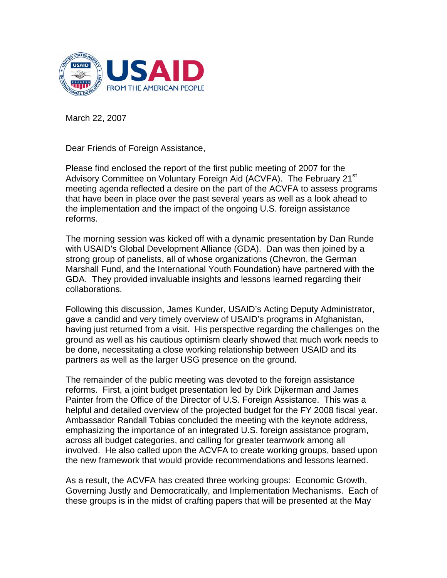

March 22, 2007

Dear Friends of Foreign Assistance,

Please find enclosed the report of the first public meeting of 2007 for the Advisory Committee on Voluntary Foreign Aid (ACVFA). The February 21<sup>st</sup> meeting agenda reflected a desire on the part of the ACVFA to assess programs that have been in place over the past several years as well as a look ahead to the implementation and the impact of the ongoing U.S. foreign assistance reforms.

The morning session was kicked off with a dynamic presentation by Dan Runde with USAID's Global Development Alliance (GDA). Dan was then joined by a strong group of panelists, all of whose organizations (Chevron, the German Marshall Fund, and the International Youth Foundation) have partnered with the GDA. They provided invaluable insights and lessons learned regarding their collaborations.

Following this discussion, James Kunder, USAID's Acting Deputy Administrator, gave a candid and very timely overview of USAID's programs in Afghanistan, having just returned from a visit. His perspective regarding the challenges on the ground as well as his cautious optimism clearly showed that much work needs to be done, necessitating a close working relationship between USAID and its partners as well as the larger USG presence on the ground.

The remainder of the public meeting was devoted to the foreign assistance reforms. First, a joint budget presentation led by Dirk Dijkerman and James Painter from the Office of the Director of U.S. Foreign Assistance. This was a helpful and detailed overview of the projected budget for the FY 2008 fiscal year. Ambassador Randall Tobias concluded the meeting with the keynote address, emphasizing the importance of an integrated U.S. foreign assistance program, across all budget categories, and calling for greater teamwork among all involved. He also called upon the ACVFA to create working groups, based upon the new framework that would provide recommendations and lessons learned.

As a result, the ACVFA has created three working groups: Economic Growth, Governing Justly and Democratically, and Implementation Mechanisms. Each of these groups is in the midst of crafting papers that will be presented at the May